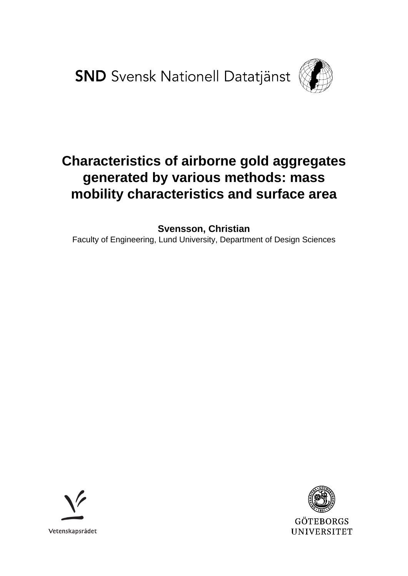**SND** Svensk Nationell Datatjänst



# **Characteristics of airborne gold aggregates generated by various methods: mass mobility characteristics and surface area**

**Svensson, Christian**

Faculty of Engineering, Lund University, Department of Design Sciences



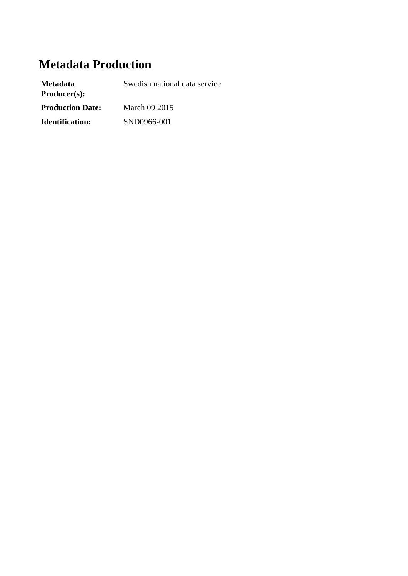# **Metadata Production**

| <b>Metadata</b><br>Product(s): | Swedish national data service |
|--------------------------------|-------------------------------|
| <b>Production Date:</b>        | March 09 2015                 |
| <b>Identification:</b>         | SND0966-001                   |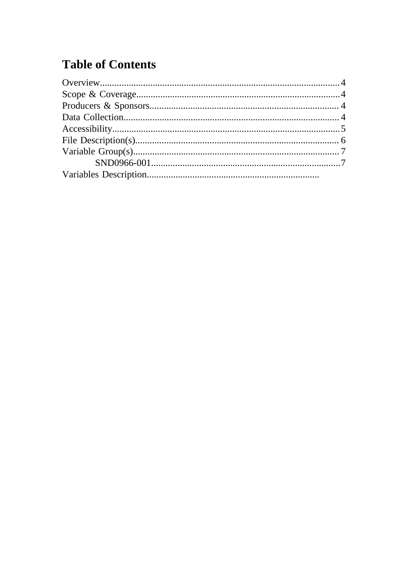# **Table of Contents**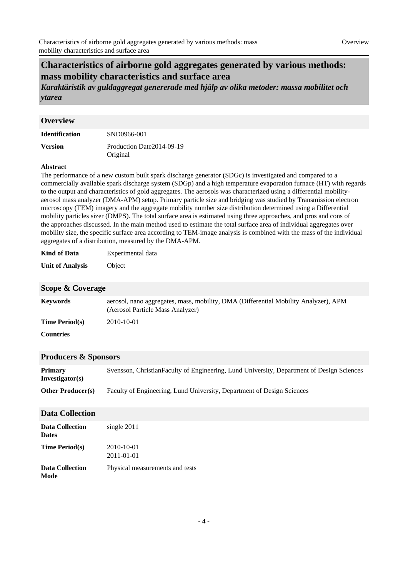## **Characteristics of airborne gold aggregates generated by various methods: mass mobility characteristics and surface area**

*Karaktäristik av guldaggregat genererade med hjälp av olika metoder: massa mobilitet och ytarea*

### <span id="page-3-0"></span>**Overview**

| <b>Identification</b> | SND0966-001                |
|-----------------------|----------------------------|
| <b>Version</b>        | Production Date 2014-09-19 |
|                       | Original                   |

#### **Abstract**

The performance of a new custom built spark discharge generator (SDGc) is investigated and compared to a commercially available spark discharge system (SDGp) and a high temperature evaporation furnace (HT) with regards to the output and characteristics of gold aggregates. The aerosols was characterized using a differential mobilityaerosol mass analyzer (DMA-APM) setup. Primary particle size and bridging was studied by Transmission electron microscopy (TEM) imagery and the aggregate mobility number size distribution determined using a Differential mobility particles sizer (DMPS). The total surface area is estimated using three approaches, and pros and cons of the approaches discussed. In the main method used to estimate the total surface area of individual aggregates over mobility size, the specific surface area according to TEM-image analysis is combined with the mass of the individual aggregates of a distribution, measured by the DMA-APM.

| <b>Kind of Data</b> | Experimental data |
|---------------------|-------------------|
|---------------------|-------------------|

**Unit of Analysis** Object

#### <span id="page-3-1"></span>**Scope & Coverage**

| <b>Keywords</b>       | aerosol, nano aggregates, mass, mobility, DMA (Differential Mobility Analyzer), APM<br>(Aerosol Particle Mass Analyzer) |
|-----------------------|-------------------------------------------------------------------------------------------------------------------------|
| <b>Time Period(s)</b> | 2010-10-01                                                                                                              |
| <b>Countries</b>      |                                                                                                                         |

#### <span id="page-3-2"></span>**Producers & Sponsors**

| <b>Primary</b><br>Investigator(s) | Svensson, Christian Faculty of Engineering, Lund University, Department of Design Sciences |
|-----------------------------------|--------------------------------------------------------------------------------------------|
| <b>Other Producer(s)</b>          | Faculty of Engineering, Lund University, Department of Design Sciences                     |

### <span id="page-3-3"></span>**Data Collection**

| <b>Data Collection</b><br><b>Dates</b> | single 2011                     |
|----------------------------------------|---------------------------------|
| <b>Time Period(s)</b>                  | 2010-10-01<br>2011-01-01        |
| <b>Data Collection</b><br>Mode         | Physical measurements and tests |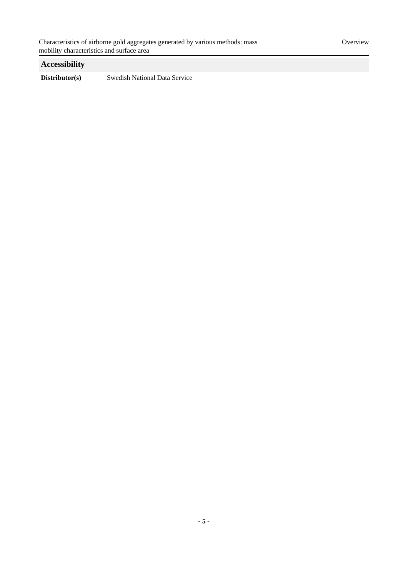## <span id="page-4-0"></span>**Accessibility**

**Distributor(s)** Swedish National Data Service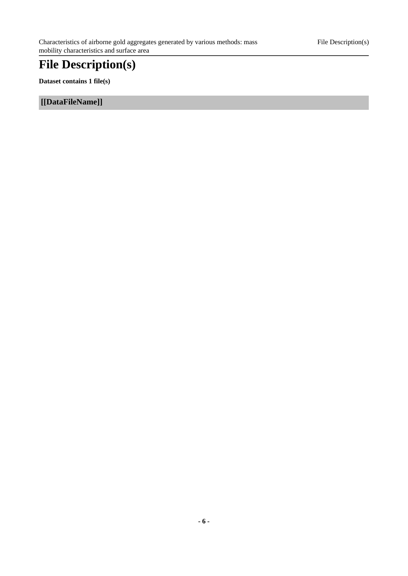# <span id="page-5-0"></span>**File Description(s)**

**Dataset contains 1 file(s)**

**[[DataFileName]]**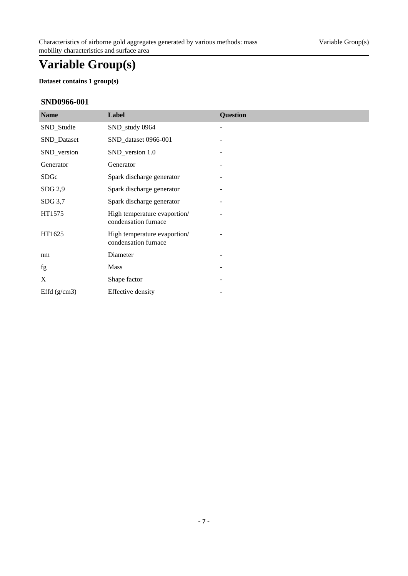# <span id="page-6-0"></span>**Variable Group(s)**

## **Dataset contains 1 group(s)**

## <span id="page-6-1"></span>**SND0966-001**

| <b>Name</b>    | Label                                                | Question |
|----------------|------------------------------------------------------|----------|
| SND_Studie     | SND_study 0964                                       |          |
| SND_Dataset    | SND_dataset 0966-001                                 |          |
| SND_version    | SND_version 1.0                                      |          |
| Generator      | Generator                                            |          |
| SDGc           | Spark discharge generator                            |          |
| SDG 2,9        | Spark discharge generator                            |          |
| SDG 3,7        | Spark discharge generator                            |          |
| HT1575         | High temperature evaportion/<br>condensation furnace |          |
| HT1625         | High temperature evaportion/<br>condensation furnace |          |
| nm             | Diameter                                             |          |
| fg             | <b>Mass</b>                                          |          |
| X              | Shape factor                                         |          |
| Effd $(g/cm3)$ | <b>Effective density</b>                             |          |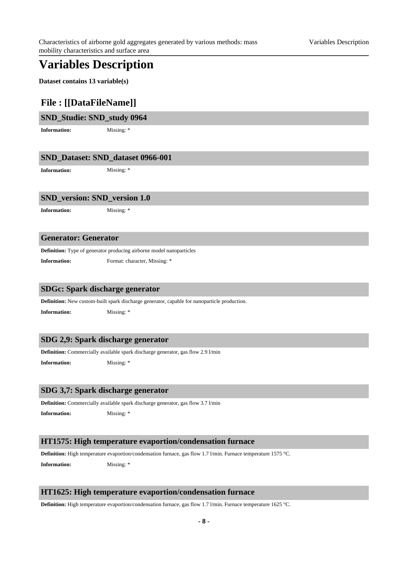## **Variables Description**

**Dataset contains 13 variable(s)**

## **File : [[DataFileName]]**

| SND_Studie: SND_study 0964 |  |
|----------------------------|--|
|----------------------------|--|

**Information:** Missing: \*

## **SND\_Dataset: SND\_dataset 0966-001**

**Information:** Missing: \*

#### **SND\_version: SND\_version 1.0**

**Information:** Missing: \*

### **Generator: Generator**

**Definition:** Type of generator producing airborne model nanoparticles

**Information:** Format: character, Missing: \*

#### **SDGc: Spark discharge generator**

**Definition:** New custom-built spark discharge generator, capable for nanoparticle production.

**Information:** Missing: \*

### **SDG 2,9: Spark discharge generator**

**Definition:** Commercially available spark discharge generator, gas flow 2.9 l/min

**Information:** Missing: \*

## **SDG 3,7: Spark discharge generator**

**Definition:** Commercially available spark discharge generator, gas flow 3.7 l/min

**Information:** Missing: \*

#### **HT1575: High temperature evaportion/condensation furnace**

**Definition:** High temperature evaportion/condensation furnace, gas flow 1.7 l/min. Furnace temperature 1575 °C.

**Information:** Missing: \*

#### **HT1625: High temperature evaportion/condensation furnace**

**Definition:** High temperature evaportion/condensation furnace, gas flow 1.7 l/min. Furnace temperature 1625 °C.